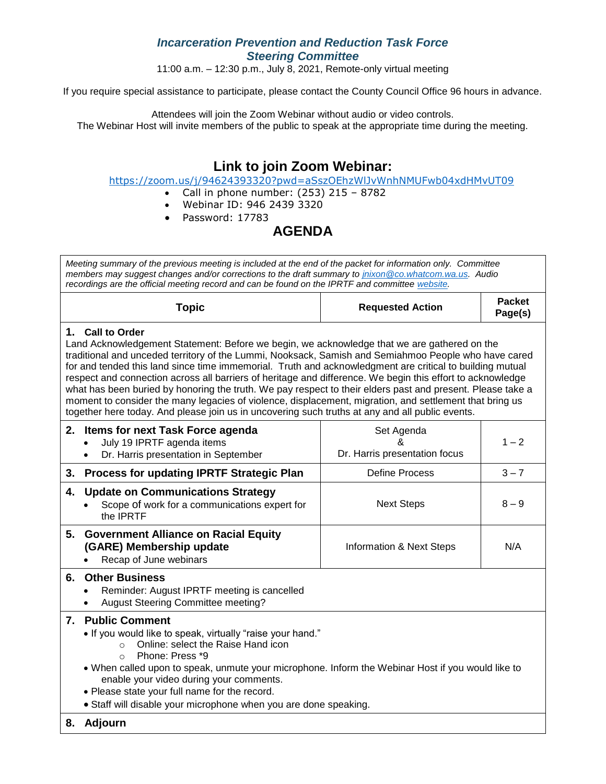## *Incarceration Prevention and Reduction Task Force Steering Committee*

11:00 a.m. – 12:30 p.m., July 8, 2021, Remote-only virtual meeting

If you require special assistance to participate, please contact the County Council Office 96 hours in advance.

Attendees will join the Zoom Webinar without audio or video controls. The Webinar Host will invite members of the public to speak at the appropriate time during the meeting.

## **Link to join Zoom Webinar:**

<https://zoom.us/j/94624393320?pwd=aSszOEhzWlJvWnhNMUFwb04xdHMvUT09>

- Call in phone number:  $(253)$  215 8782
	- Webinar ID: 946 2439 3320
	- Password: 17783

## **AGENDA**

| Meeting summary of the previous meeting is included at the end of the packet for information only. Committee<br>members may suggest changes and/or corrections to the draft summary to jnixon @co.whatcom.wa.us. Audio<br>recordings are the official meeting record and can be found on the IPRTF and committee website.                                                                                                                                                                                                                                                                                                                                                                                                                                                     |                                                  |                          |  |  |  |
|-------------------------------------------------------------------------------------------------------------------------------------------------------------------------------------------------------------------------------------------------------------------------------------------------------------------------------------------------------------------------------------------------------------------------------------------------------------------------------------------------------------------------------------------------------------------------------------------------------------------------------------------------------------------------------------------------------------------------------------------------------------------------------|--------------------------------------------------|--------------------------|--|--|--|
| <b>Topic</b>                                                                                                                                                                                                                                                                                                                                                                                                                                                                                                                                                                                                                                                                                                                                                                  | <b>Requested Action</b>                          | <b>Packet</b><br>Page(s) |  |  |  |
| 1. Call to Order<br>Land Acknowledgement Statement: Before we begin, we acknowledge that we are gathered on the<br>traditional and unceded territory of the Lummi, Nooksack, Samish and Semiahmoo People who have cared<br>for and tended this land since time immemorial. Truth and acknowledgment are critical to building mutual<br>respect and connection across all barriers of heritage and difference. We begin this effort to acknowledge<br>what has been buried by honoring the truth. We pay respect to their elders past and present. Please take a<br>moment to consider the many legacies of violence, displacement, migration, and settlement that bring us<br>together here today. And please join us in uncovering such truths at any and all public events. |                                                  |                          |  |  |  |
| 2. Items for next Task Force agenda<br>July 19 IPRTF agenda items<br>$\bullet$<br>Dr. Harris presentation in September<br>$\bullet$                                                                                                                                                                                                                                                                                                                                                                                                                                                                                                                                                                                                                                           | Set Agenda<br>&<br>Dr. Harris presentation focus | $1 - 2$                  |  |  |  |
| <b>Process for updating IPRTF Strategic Plan</b><br>3.                                                                                                                                                                                                                                                                                                                                                                                                                                                                                                                                                                                                                                                                                                                        | <b>Define Process</b>                            | $3 - 7$                  |  |  |  |
| <b>Update on Communications Strategy</b><br>4.<br>Scope of work for a communications expert for<br>the <b>IPRTF</b>                                                                                                                                                                                                                                                                                                                                                                                                                                                                                                                                                                                                                                                           | <b>Next Steps</b>                                | $8 - 9$                  |  |  |  |
| <b>Government Alliance on Racial Equity</b><br>5.<br>(GARE) Membership update<br>Recap of June webinars                                                                                                                                                                                                                                                                                                                                                                                                                                                                                                                                                                                                                                                                       | <b>Information &amp; Next Steps</b>              | N/A                      |  |  |  |
| <b>Other Business</b><br>6.<br>Reminder: August IPRTF meeting is cancelled<br><b>August Steering Committee meeting?</b><br>$\bullet$                                                                                                                                                                                                                                                                                                                                                                                                                                                                                                                                                                                                                                          |                                                  |                          |  |  |  |
| 7. Public Comment<br>• If you would like to speak, virtually "raise your hand."<br>Online: select the Raise Hand icon<br>$\Omega$<br>Phone: Press *9<br>$\Omega$<br>. When called upon to speak, unmute your microphone. Inform the Webinar Host if you would like to<br>enable your video during your comments.<br>. Please state your full name for the record.<br>• Staff will disable your microphone when you are done speaking.                                                                                                                                                                                                                                                                                                                                         |                                                  |                          |  |  |  |
| Adjourn<br>8.                                                                                                                                                                                                                                                                                                                                                                                                                                                                                                                                                                                                                                                                                                                                                                 |                                                  |                          |  |  |  |